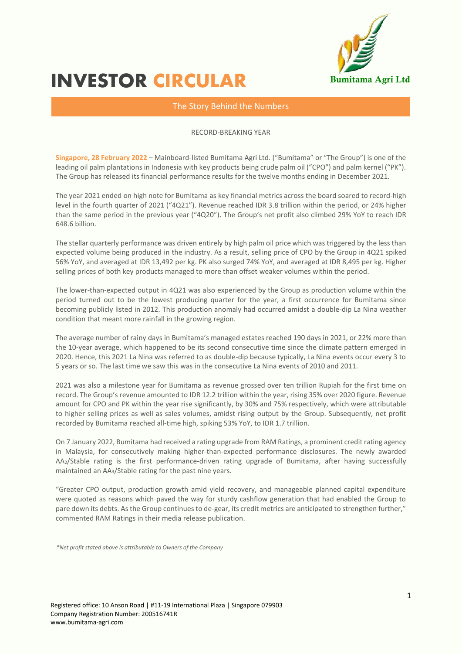

# INVESTOR **CIRCULAR**

## The Story Behind the Numbers

#### RECORD-BREAKING YEAR

**Singapore, 28 February 2022** – Mainboard-listed Bumitama Agri Ltd. ("Bumitama" or "The Group") is one of the leading oil palm plantations in Indonesia with key products being crude palm oil ("CPO") and palm kernel ("PK"). The Group has released its financial performance results for the twelve months ending in December 2021.

The year 2021 ended on high note for Bumitama as key financial metrics across the board soared to record-high level in the fourth quarter of 2021 ("4Q21"). Revenue reached IDR 3.8 trillion within the period, or 24% higher than the same period in the previous year ("4Q20"). The Group's net profit also climbed 29% YoY to reach IDR 648.6 billion.

The stellar quarterly performance was driven entirely by high palm oil price which was triggered by the less than expected volume being produced in the industry. As a result, selling price of CPO by the Group in 4Q21 spiked 56% YoY, and averaged at IDR 13,492 per kg. PK also surged 74% YoY, and averaged at IDR 8,495 per kg. Higher selling prices of both key products managed to more than offset weaker volumes within the period.

The lower-than-expected output in 4Q21 was also experienced by the Group as production volume within the period turned out to be the lowest producing quarter for the year, a first occurrence for Bumitama since becoming publicly listed in 2012. This production anomaly had occurred amidst a double-dip La Nina weather condition that meant more rainfall in the growing region.

The average number of rainy days in Bumitama's managed estates reached 190 days in 2021, or 22% more than the 10-year average, which happened to be its second consecutive time since the climate pattern emerged in 2020. Hence, this 2021 La Nina was referred to as double-dip because typically, La Nina events occur every 3 to 5 years or so. The last time we saw this was in the consecutive La Nina events of 2010 and 2011.

2021 was also a milestone year for Bumitama as revenue grossed over ten trillion Rupiah for the first time on record. The Group's revenue amounted to IDR 12.2 trillion within the year, rising 35% over 2020 figure. Revenue amount for CPO and PK within the year rise significantly, by 30% and 75% respectively, which were attributable to higher selling prices as well as sales volumes, amidst rising output by the Group. Subsequently, net profit recorded by Bumitama reached all-time high, spiking 53% YoY, to IDR 1.7 trillion.

On 7 January 2022, Bumitama had received a rating upgrade from RAM Ratings, a prominent credit rating agency in Malaysia, for consecutively making higher-than-expected performance disclosures. The newly awarded AA2/Stable rating is the first performance-driven rating upgrade of Bumitama, after having successfully maintained an AA3/Stable rating for the past nine years.

"Greater CPO output, production growth amid yield recovery, and manageable planned capital expenditure were quoted as reasons which paved the way for sturdy cashflow generation that had enabled the Group to pare down its debts. As the Group continues to de-gear, its credit metrics are anticipated to strengthen further," commented RAM Ratings in their media release publication.

*\*Net profit stated above is attributable to Owners of the Company*